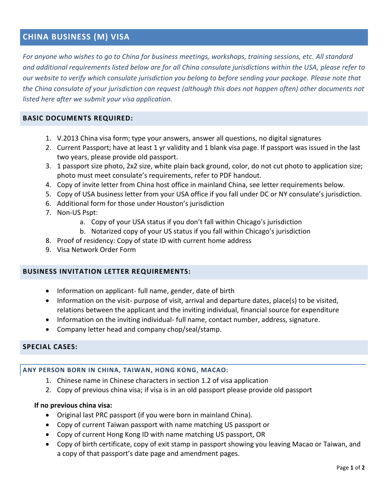# **CHINA BUSINESS (M) VISA**

*For anyone who wishes to go to China for business meetings, workshops, training sessions, etc. All standard and additional requirements listed below are for all China consulate jurisdictions within the USA, please refer to our website to verify which consulate jurisdiction you belong to before sending your package. Please note that the China consulate of your jurisdiction can request (although this does not happen often) other documents not listed here after we submit your visa application.* 

#### **BASIC DOCUMENTS REQUIRED:**

- 1. V.2013 China visa form; type your answers, answer all questions, no digital signatures
- 2. Current Passport; have at least 1 yr validity and 1 blank visa page. If passport was issued in the last two years, please provide old passport.
- 3. 1 passport size photo, 2x2 size, white plain back ground, color, do not cut photo to application size; photo must meet consulate's requirements, refer to PDF handout.
- 4. Copy of invite letter from China host office in mainland China, see letter requirements below.
- 5. Copy of USA business letter from your USA office if you fall under DC or NY consulate's jurisdiction.
- 6. Additional form for those under Houston's jurisdiction
- 7. Non-US Pspt:
	- a. Copy of your USA status if you don't fall within Chicago's jurisdiction
	- b. Notarized copy of your US status if you fall within Chicago's jurisdiction
- 8. Proof of residency: Copy of state ID with current home address
- 9. Visa Network Order Form

#### **BUSINESS INVITATION LETTER REQUIREMENTS:**

- Information on applicant- full name, gender, date of birth
- Information on the visit- purpose of visit, arrival and departure dates, place(s) to be visited, relations between the applicant and the inviting individual, financial source for expenditure
- Information on the inviting individual- full name, contact number, address, signature.
- Company letter head and company chop/seal/stamp.

#### **SPECIAL CASES:**

#### **ANY PERSON BORN IN CHINA, TAIWAN, HONG KONG, MACAO:**

- 1. Chinese name in Chinese characters in section 1.2 of visa application
- 2. Copy of previous china visa; if visa is in an old passport please provide old passport

#### **If no previous china visa:**

- Original last PRC passport (if you were born in mainland China).
- Copy of current Taiwan passport with name matching US passport or
- Copy of current Hong Kong ID with name matching US passport, OR
- Copy of birth certificate, copy of exit stamp in passport showing you leaving Macao or Taiwan, and a copy of that passport's date page and amendment pages.